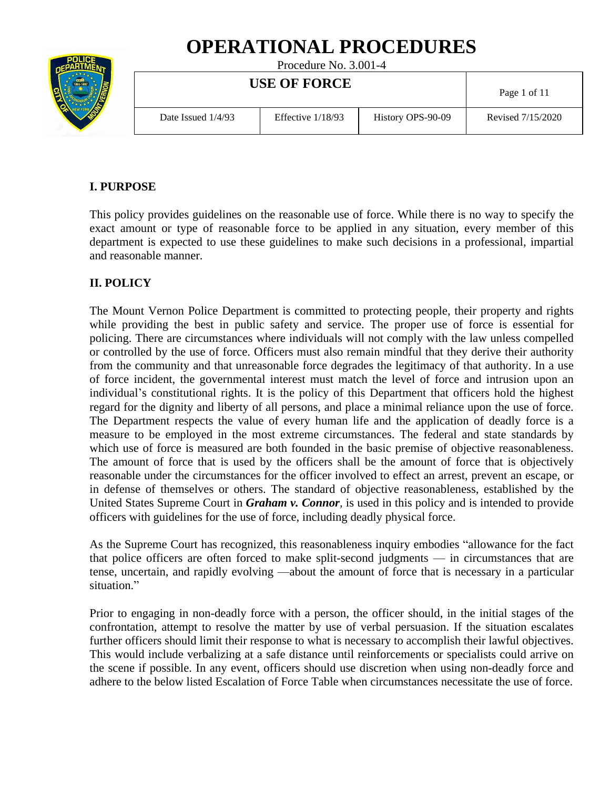# **OPERATIONAL PROCEDURES**



Procedure No. 3.001-4

| <b>USE OF FORCE</b>  |                     |                   | Page 1 of 11      |  |
|----------------------|---------------------|-------------------|-------------------|--|
| Date Issued $1/4/93$ | Effective $1/18/93$ | History OPS-90-09 | Revised 7/15/2020 |  |

# **I. PURPOSE**

This policy provides guidelines on the reasonable use of force. While there is no way to specify the exact amount or type of reasonable force to be applied in any situation, every member of this department is expected to use these guidelines to make such decisions in a professional, impartial and reasonable manner.

# **II. POLICY**

The Mount Vernon Police Department is committed to protecting people, their property and rights while providing the best in public safety and service. The proper use of force is essential for policing. There are circumstances where individuals will not comply with the law unless compelled or controlled by the use of force. Officers must also remain mindful that they derive their authority from the community and that unreasonable force degrades the legitimacy of that authority. In a use of force incident, the governmental interest must match the level of force and intrusion upon an individual's constitutional rights. It is the policy of this Department that officers hold the highest regard for the dignity and liberty of all persons, and place a minimal reliance upon the use of force. The Department respects the value of every human life and the application of deadly force is a measure to be employed in the most extreme circumstances. The federal and state standards by which use of force is measured are both founded in the basic premise of objective reasonableness. The amount of force that is used by the officers shall be the amount of force that is objectively reasonable under the circumstances for the officer involved to effect an arrest, prevent an escape, or in defense of themselves or others. The standard of objective reasonableness, established by the United States Supreme Court in *Graham v. Connor,* is used in this policy and is intended to provide officers with guidelines for the use of force, including deadly physical force.

As the Supreme Court has recognized, this reasonableness inquiry embodies "allowance for the fact that police officers are often forced to make split-second judgments — in circumstances that are tense, uncertain, and rapidly evolving —about the amount of force that is necessary in a particular situation."

Prior to engaging in non-deadly force with a person, the officer should, in the initial stages of the confrontation, attempt to resolve the matter by use of verbal persuasion. If the situation escalates further officers should limit their response to what is necessary to accomplish their lawful objectives. This would include verbalizing at a safe distance until reinforcements or specialists could arrive on the scene if possible. In any event, officers should use discretion when using non-deadly force and adhere to the below listed Escalation of Force Table when circumstances necessitate the use of force.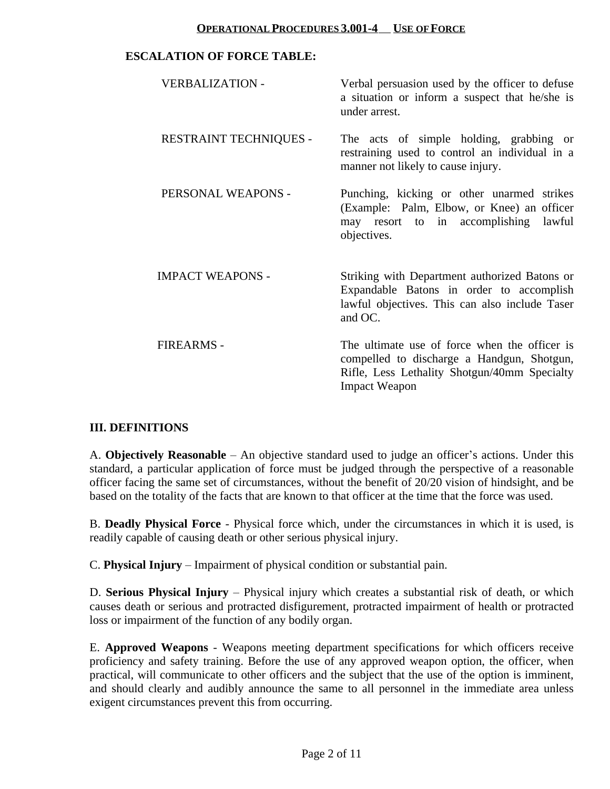#### **ESCALATION OF FORCE TABLE:**

| <b>VERBALIZATION -</b>        | Verbal persuasion used by the officer to defuse<br>a situation or inform a suspect that he/she is<br>under arrest.                                                  |
|-------------------------------|---------------------------------------------------------------------------------------------------------------------------------------------------------------------|
| <b>RESTRAINT TECHNIQUES -</b> | The acts of simple holding, grabbing or<br>restraining used to control an individual in a<br>manner not likely to cause injury.                                     |
| PERSONAL WEAPONS -            | Punching, kicking or other unarmed strikes<br>(Example: Palm, Elbow, or Knee) an officer<br>may resort to in accomplishing lawful<br>objectives.                    |
| <b>IMPACT WEAPONS -</b>       | Striking with Department authorized Batons or<br>Expandable Batons in order to accomplish<br>lawful objectives. This can also include Taser<br>and OC.              |
| <b>FIREARMS -</b>             | The ultimate use of force when the officer is<br>compelled to discharge a Handgun, Shotgun,<br>Rifle, Less Lethality Shotgun/40mm Specialty<br><b>Impact Weapon</b> |

#### **III. DEFINITIONS**

A. **Objectively Reasonable** – An objective standard used to judge an officer's actions. Under this standard, a particular application of force must be judged through the perspective of a reasonable officer facing the same set of circumstances, without the benefit of 20/20 vision of hindsight, and be based on the totality of the facts that are known to that officer at the time that the force was used.

B. **Deadly Physical Force** - Physical force which, under the circumstances in which it is used, is readily capable of causing death or other serious physical injury.

C. **Physical Injury** – Impairment of physical condition or substantial pain.

D. **Serious Physical Injury** – Physical injury which creates a substantial risk of death, or which causes death or serious and protracted disfigurement, protracted impairment of health or protracted loss or impairment of the function of any bodily organ.

E. **Approved Weapons** - Weapons meeting department specifications for which officers receive proficiency and safety training. Before the use of any approved weapon option, the officer, when practical, will communicate to other officers and the subject that the use of the option is imminent, and should clearly and audibly announce the same to all personnel in the immediate area unless exigent circumstances prevent this from occurring.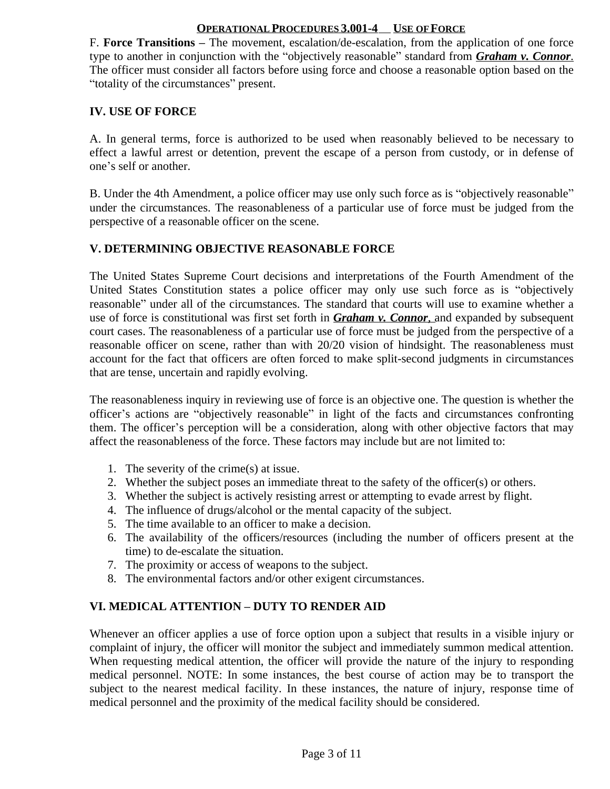F. **Force Transitions –** The movement, escalation/de-escalation, from the application of one force type to another in conjunction with the "objectively reasonable" standard from *Graham v. Connor*. The officer must consider all factors before using force and choose a reasonable option based on the "totality of the circumstances" present.

### **IV. USE OF FORCE**

A. In general terms, force is authorized to be used when reasonably believed to be necessary to effect a lawful arrest or detention, prevent the escape of a person from custody, or in defense of one's self or another.

B. Under the 4th Amendment, a police officer may use only such force as is "objectively reasonable" under the circumstances. The reasonableness of a particular use of force must be judged from the perspective of a reasonable officer on the scene.

# **V. DETERMINING OBJECTIVE REASONABLE FORCE**

The United States Supreme Court decisions and interpretations of the Fourth Amendment of the United States Constitution states a police officer may only use such force as is "objectively reasonable" under all of the circumstances. The standard that courts will use to examine whether a use of force is constitutional was first set forth in *Graham v. Connor*, and expanded by subsequent court cases. The reasonableness of a particular use of force must be judged from the perspective of a reasonable officer on scene, rather than with 20/20 vision of hindsight. The reasonableness must account for the fact that officers are often forced to make split-second judgments in circumstances that are tense, uncertain and rapidly evolving.

The reasonableness inquiry in reviewing use of force is an objective one. The question is whether the officer's actions are "objectively reasonable" in light of the facts and circumstances confronting them. The officer's perception will be a consideration, along with other objective factors that may affect the reasonableness of the force. These factors may include but are not limited to:

- 1. The severity of the crime(s) at issue.
- 2. Whether the subject poses an immediate threat to the safety of the officer(s) or others.
- 3. Whether the subject is actively resisting arrest or attempting to evade arrest by flight.
- 4. The influence of drugs/alcohol or the mental capacity of the subject.
- 5. The time available to an officer to make a decision.
- 6. The availability of the officers/resources (including the number of officers present at the time) to de-escalate the situation.
- 7. The proximity or access of weapons to the subject.
- 8. The environmental factors and/or other exigent circumstances.

# **VI. MEDICAL ATTENTION – DUTY TO RENDER AID**

Whenever an officer applies a use of force option upon a subject that results in a visible injury or complaint of injury, the officer will monitor the subject and immediately summon medical attention. When requesting medical attention, the officer will provide the nature of the injury to responding medical personnel. NOTE: In some instances, the best course of action may be to transport the subject to the nearest medical facility. In these instances, the nature of injury, response time of medical personnel and the proximity of the medical facility should be considered.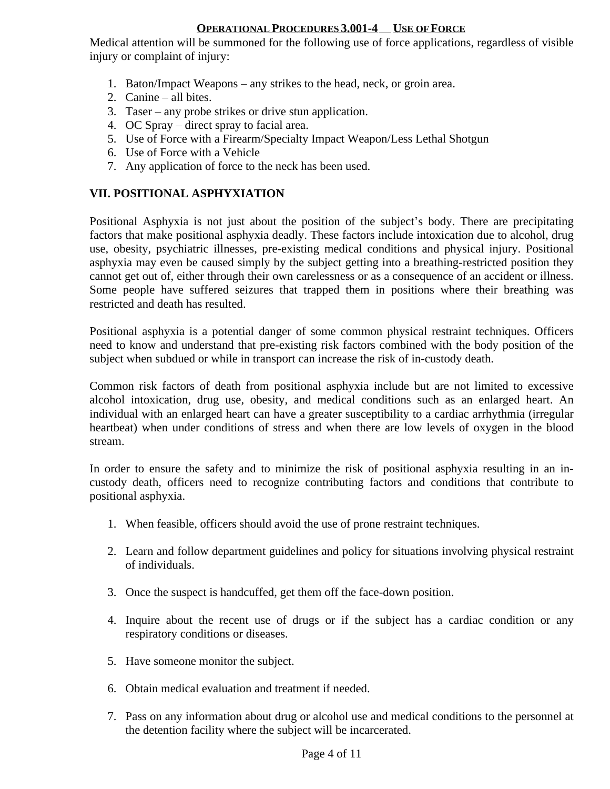Medical attention will be summoned for the following use of force applications, regardless of visible injury or complaint of injury:

- 1. Baton/Impact Weapons any strikes to the head, neck, or groin area.
- 2. Canine all bites.
- 3. Taser any probe strikes or drive stun application.
- 4. OC Spray direct spray to facial area.
- 5. Use of Force with a Firearm/Specialty Impact Weapon/Less Lethal Shotgun
- 6. Use of Force with a Vehicle
- 7. Any application of force to the neck has been used.

# **VII. POSITIONAL ASPHYXIATION**

Positional Asphyxia is not just about the position of the subject's body. There are precipitating factors that make positional asphyxia deadly. These factors include intoxication due to alcohol, drug use, obesity, psychiatric illnesses, pre-existing medical conditions and physical injury. Positional asphyxia may even be caused simply by the subject getting into a breathing-restricted position they cannot get out of, either through their own carelessness or as a consequence of an accident or illness. Some people have suffered seizures that trapped them in positions where their breathing was restricted and death has resulted.

Positional asphyxia is a potential danger of some common physical restraint techniques. Officers need to know and understand that pre-existing risk factors combined with the body position of the subject when subdued or while in transport can increase the risk of in-custody death.

Common risk factors of death from positional asphyxia include but are not limited to excessive alcohol intoxication, drug use, obesity, and medical conditions such as an enlarged heart. An individual with an enlarged heart can have a greater susceptibility to a cardiac arrhythmia (irregular heartbeat) when under conditions of stress and when there are low levels of oxygen in the blood stream.

In order to ensure the safety and to minimize the risk of positional asphyxia resulting in an incustody death, officers need to recognize contributing factors and conditions that contribute to positional asphyxia.

- 1. When feasible, officers should avoid the use of prone restraint techniques.
- 2. Learn and follow department guidelines and policy for situations involving physical restraint of individuals.
- 3. Once the suspect is handcuffed, get them off the face-down position.
- 4. Inquire about the recent use of drugs or if the subject has a cardiac condition or any respiratory conditions or diseases.
- 5. Have someone monitor the subject.
- 6. Obtain medical evaluation and treatment if needed.
- 7. Pass on any information about drug or alcohol use and medical conditions to the personnel at the detention facility where the subject will be incarcerated.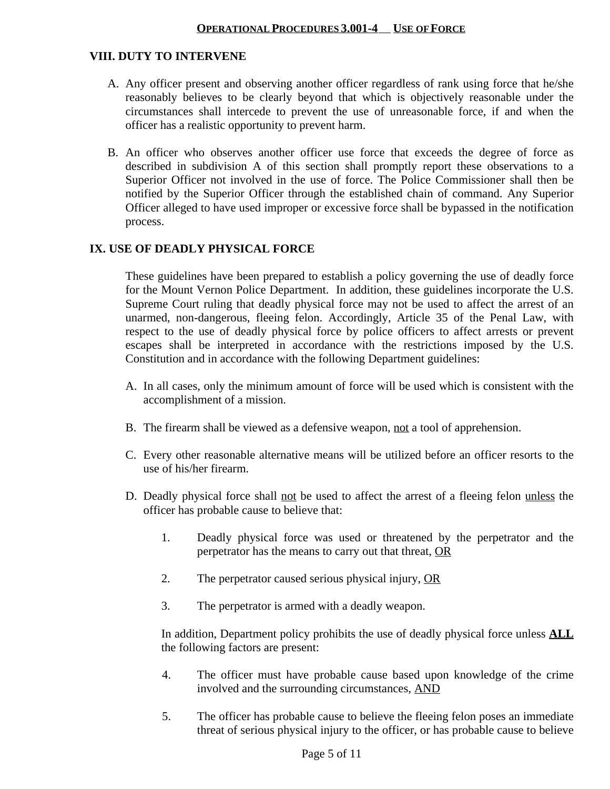#### **VIII. DUTY TO INTERVENE**

- A. Any officer present and observing another officer regardless of rank using force that he/she reasonably believes to be clearly beyond that which is objectively reasonable under the circumstances shall intercede to prevent the use of unreasonable force, if and when the officer has a realistic opportunity to prevent harm.
- B. An officer who observes another officer use force that exceeds the degree of force as described in subdivision A of this section shall promptly report these observations to a Superior Officer not involved in the use of force. The Police Commissioner shall then be notified by the Superior Officer through the established chain of command. Any Superior Officer alleged to have used improper or excessive force shall be bypassed in the notification process.

#### **IX. USE OF DEADLY PHYSICAL FORCE**

These guidelines have been prepared to establish a policy governing the use of deadly force for the Mount Vernon Police Department. In addition, these guidelines incorporate the U.S. Supreme Court ruling that deadly physical force may not be used to affect the arrest of an unarmed, non-dangerous, fleeing felon. Accordingly, Article 35 of the Penal Law, with respect to the use of deadly physical force by police officers to affect arrests or prevent escapes shall be interpreted in accordance with the restrictions imposed by the U.S. Constitution and in accordance with the following Department guidelines:

- A. In all cases, only the minimum amount of force will be used which is consistent with the accomplishment of a mission.
- B. The firearm shall be viewed as a defensive weapon, not a tool of apprehension.
- C. Every other reasonable alternative means will be utilized before an officer resorts to the use of his/her firearm.
- D. Deadly physical force shall not be used to affect the arrest of a fleeing felon unless the officer has probable cause to believe that:
	- 1. Deadly physical force was used or threatened by the perpetrator and the perpetrator has the means to carry out that threat, OR
	- 2. The perpetrator caused serious physical injury, OR
	- 3. The perpetrator is armed with a deadly weapon.

In addition, Department policy prohibits the use of deadly physical force unless **ALL** the following factors are present:

- 4. The officer must have probable cause based upon knowledge of the crime involved and the surrounding circumstances, AND
- 5. The officer has probable cause to believe the fleeing felon poses an immediate threat of serious physical injury to the officer, or has probable cause to believe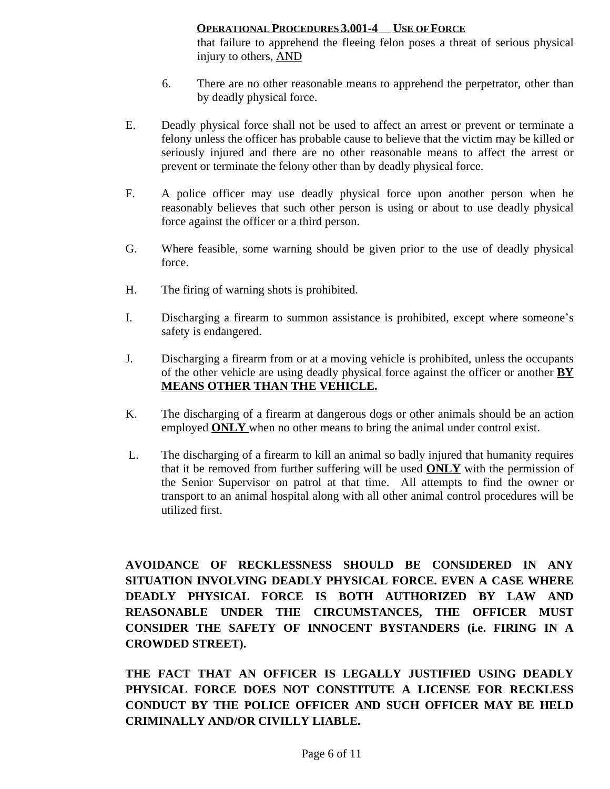that failure to apprehend the fleeing felon poses a threat of serious physical injury to others, AND

- 6. There are no other reasonable means to apprehend the perpetrator, other than by deadly physical force.
- E. Deadly physical force shall not be used to affect an arrest or prevent or terminate a felony unless the officer has probable cause to believe that the victim may be killed or seriously injured and there are no other reasonable means to affect the arrest or prevent or terminate the felony other than by deadly physical force.
- F. A police officer may use deadly physical force upon another person when he reasonably believes that such other person is using or about to use deadly physical force against the officer or a third person.
- G. Where feasible, some warning should be given prior to the use of deadly physical force.
- H. The firing of warning shots is prohibited.
- I. Discharging a firearm to summon assistance is prohibited, except where someone's safety is endangered.
- J. Discharging a firearm from or at a moving vehicle is prohibited, unless the occupants of the other vehicle are using deadly physical force against the officer or another **BY MEANS OTHER THAN THE VEHICLE.**
- K. The discharging of a firearm at dangerous dogs or other animals should be an action employed **ONLY** when no other means to bring the animal under control exist.
- L. The discharging of a firearm to kill an animal so badly injured that humanity requires that it be removed from further suffering will be used **ONLY** with the permission of the Senior Supervisor on patrol at that time. All attempts to find the owner or transport to an animal hospital along with all other animal control procedures will be utilized first.

**AVOIDANCE OF RECKLESSNESS SHOULD BE CONSIDERED IN ANY SITUATION INVOLVING DEADLY PHYSICAL FORCE. EVEN A CASE WHERE DEADLY PHYSICAL FORCE IS BOTH AUTHORIZED BY LAW AND REASONABLE UNDER THE CIRCUMSTANCES, THE OFFICER MUST CONSIDER THE SAFETY OF INNOCENT BYSTANDERS (i.e. FIRING IN A CROWDED STREET).**

**THE FACT THAT AN OFFICER IS LEGALLY JUSTIFIED USING DEADLY PHYSICAL FORCE DOES NOT CONSTITUTE A LICENSE FOR RECKLESS CONDUCT BY THE POLICE OFFICER AND SUCH OFFICER MAY BE HELD CRIMINALLY AND/OR CIVILLY LIABLE.**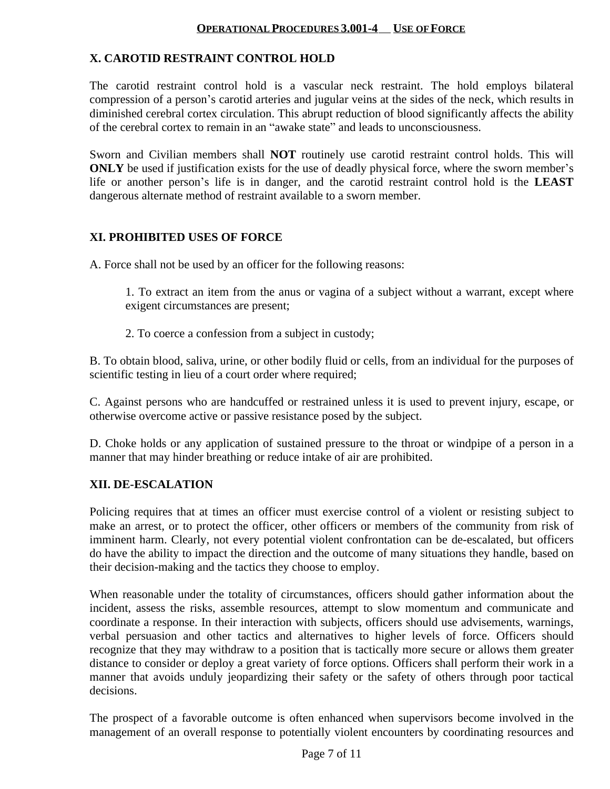# **X. CAROTID RESTRAINT CONTROL HOLD**

The carotid restraint control hold is a vascular neck restraint. The hold employs bilateral compression of a person's carotid arteries and jugular veins at the sides of the neck, which results in diminished cerebral cortex circulation. This abrupt reduction of blood significantly affects the ability of the cerebral cortex to remain in an "awake state" and leads to unconsciousness.

Sworn and Civilian members shall **NOT** routinely use carotid restraint control holds. This will **ONLY** be used if justification exists for the use of deadly physical force, where the sworn member's life or another person's life is in danger, and the carotid restraint control hold is the **LEAST** dangerous alternate method of restraint available to a sworn member.

#### **XI. PROHIBITED USES OF FORCE**

A. Force shall not be used by an officer for the following reasons:

1. To extract an item from the anus or vagina of a subject without a warrant, except where exigent circumstances are present;

2. To coerce a confession from a subject in custody;

B. To obtain blood, saliva, urine, or other bodily fluid or cells, from an individual for the purposes of scientific testing in lieu of a court order where required;

C. Against persons who are handcuffed or restrained unless it is used to prevent injury, escape, or otherwise overcome active or passive resistance posed by the subject.

D. Choke holds or any application of sustained pressure to the throat or windpipe of a person in a manner that may hinder breathing or reduce intake of air are prohibited.

# **XII. DE-ESCALATION**

Policing requires that at times an officer must exercise control of a violent or resisting subject to make an arrest, or to protect the officer, other officers or members of the community from risk of imminent harm. Clearly, not every potential violent confrontation can be de-escalated, but officers do have the ability to impact the direction and the outcome of many situations they handle, based on their decision-making and the tactics they choose to employ.

When reasonable under the totality of circumstances, officers should gather information about the incident, assess the risks, assemble resources, attempt to slow momentum and communicate and coordinate a response. In their interaction with subjects, officers should use advisements, warnings, verbal persuasion and other tactics and alternatives to higher levels of force. Officers should recognize that they may withdraw to a position that is tactically more secure or allows them greater distance to consider or deploy a great variety of force options. Officers shall perform their work in a manner that avoids unduly jeopardizing their safety or the safety of others through poor tactical decisions.

The prospect of a favorable outcome is often enhanced when supervisors become involved in the management of an overall response to potentially violent encounters by coordinating resources and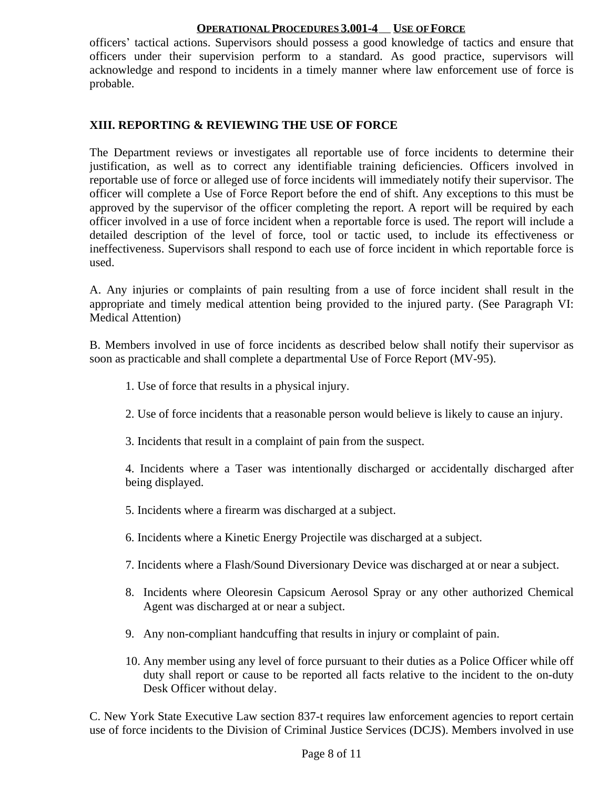officers' tactical actions. Supervisors should possess a good knowledge of tactics and ensure that officers under their supervision perform to a standard. As good practice, supervisors will acknowledge and respond to incidents in a timely manner where law enforcement use of force is probable.

# **XIII. REPORTING & REVIEWING THE USE OF FORCE**

The Department reviews or investigates all reportable use of force incidents to determine their justification, as well as to correct any identifiable training deficiencies. Officers involved in reportable use of force or alleged use of force incidents will immediately notify their supervisor. The officer will complete a Use of Force Report before the end of shift. Any exceptions to this must be approved by the supervisor of the officer completing the report. A report will be required by each officer involved in a use of force incident when a reportable force is used. The report will include a detailed description of the level of force, tool or tactic used, to include its effectiveness or ineffectiveness. Supervisors shall respond to each use of force incident in which reportable force is used.

A. Any injuries or complaints of pain resulting from a use of force incident shall result in the appropriate and timely medical attention being provided to the injured party. (See Paragraph VI: Medical Attention)

B. Members involved in use of force incidents as described below shall notify their supervisor as soon as practicable and shall complete a departmental Use of Force Report (MV-95).

- 1. Use of force that results in a physical injury.
- 2. Use of force incidents that a reasonable person would believe is likely to cause an injury.
- 3. Incidents that result in a complaint of pain from the suspect.

4. Incidents where a Taser was intentionally discharged or accidentally discharged after being displayed.

- 5. Incidents where a firearm was discharged at a subject.
- 6. Incidents where a Kinetic Energy Projectile was discharged at a subject.
- 7. Incidents where a Flash/Sound Diversionary Device was discharged at or near a subject.
- 8. Incidents where Oleoresin Capsicum Aerosol Spray or any other authorized Chemical Agent was discharged at or near a subject.
- 9. Any non-compliant handcuffing that results in injury or complaint of pain.
- 10. Any member using any level of force pursuant to their duties as a Police Officer while off duty shall report or cause to be reported all facts relative to the incident to the on-duty Desk Officer without delay.

C. New York State Executive Law section 837-t requires law enforcement agencies to report certain use of force incidents to the Division of Criminal Justice Services (DCJS). Members involved in use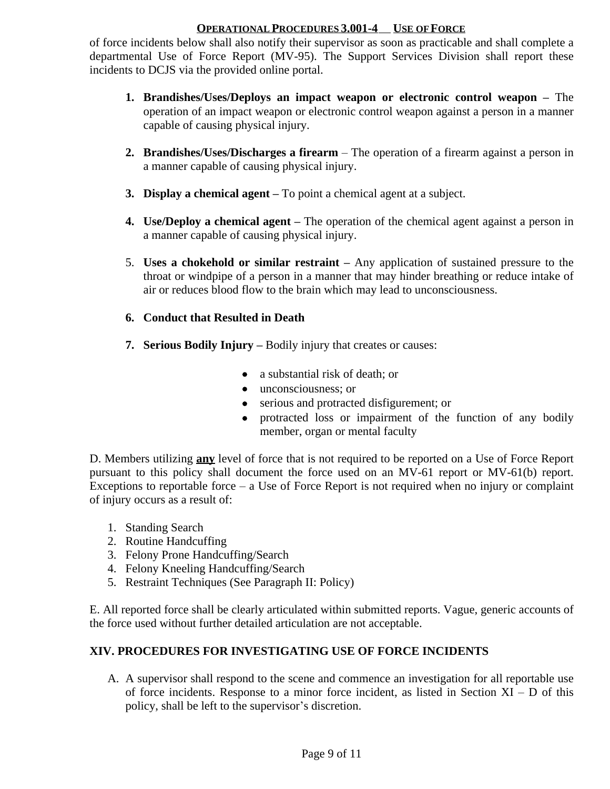of force incidents below shall also notify their supervisor as soon as practicable and shall complete a departmental Use of Force Report (MV-95). The Support Services Division shall report these incidents to DCJS via the provided online portal.

- **1. Brandishes/Uses/Deploys an impact weapon or electronic control weapon –** The operation of an impact weapon or electronic control weapon against a person in a manner capable of causing physical injury.
- **2. Brandishes/Uses/Discharges a firearm** The operation of a firearm against a person in a manner capable of causing physical injury.
- **3. Display a chemical agent –** To point a chemical agent at a subject.
- **4. Use/Deploy a chemical agent –** The operation of the chemical agent against a person in a manner capable of causing physical injury.
- 5. **Uses a chokehold or similar restraint –** Any application of sustained pressure to the throat or windpipe of a person in a manner that may hinder breathing or reduce intake of air or reduces blood flow to the brain which may lead to unconsciousness.

# **6. Conduct that Resulted in Death**

- **7. Serious Bodily Injury –** Bodily injury that creates or causes:
	- a substantial risk of death; or
	- unconsciousness; or
	- serious and protracted disfigurement; or
	- protracted loss or impairment of the function of any bodily member, organ or mental faculty

D. Members utilizing **any** level of force that is not required to be reported on a Use of Force Report pursuant to this policy shall document the force used on an MV-61 report or MV-61(b) report. Exceptions to reportable force – a Use of Force Report is not required when no injury or complaint of injury occurs as a result of:

- 1. Standing Search
- 2. Routine Handcuffing
- 3. Felony Prone Handcuffing/Search
- 4. Felony Kneeling Handcuffing/Search
- 5. Restraint Techniques (See Paragraph II: Policy)

E. All reported force shall be clearly articulated within submitted reports. Vague, generic accounts of the force used without further detailed articulation are not acceptable.

# **XIV. PROCEDURES FOR INVESTIGATING USE OF FORCE INCIDENTS**

A. A supervisor shall respond to the scene and commence an investigation for all reportable use of force incidents. Response to a minor force incident, as listed in Section  $XI - D$  of this policy, shall be left to the supervisor's discretion.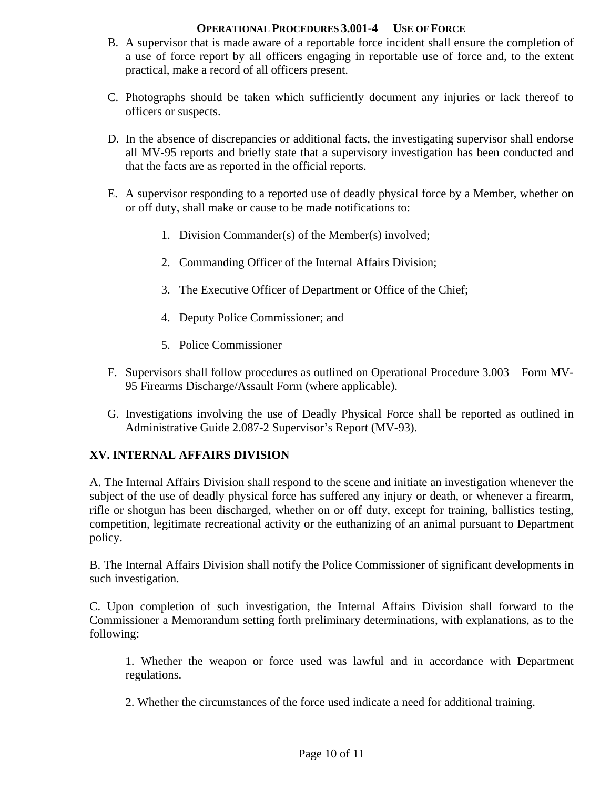- B. A supervisor that is made aware of a reportable force incident shall ensure the completion of a use of force report by all officers engaging in reportable use of force and, to the extent practical, make a record of all officers present.
- C. Photographs should be taken which sufficiently document any injuries or lack thereof to officers or suspects.
- D. In the absence of discrepancies or additional facts, the investigating supervisor shall endorse all MV-95 reports and briefly state that a supervisory investigation has been conducted and that the facts are as reported in the official reports.
- E. A supervisor responding to a reported use of deadly physical force by a Member, whether on or off duty, shall make or cause to be made notifications to:
	- 1. Division Commander(s) of the Member(s) involved;
	- 2. Commanding Officer of the Internal Affairs Division;
	- 3. The Executive Officer of Department or Office of the Chief;
	- 4. Deputy Police Commissioner; and
	- 5. Police Commissioner
- F. Supervisors shall follow procedures as outlined on Operational Procedure 3.003 Form MV-95 Firearms Discharge/Assault Form (where applicable).
- G. Investigations involving the use of Deadly Physical Force shall be reported as outlined in Administrative Guide 2.087-2 Supervisor's Report (MV-93).

# **XV. INTERNAL AFFAIRS DIVISION**

A. The Internal Affairs Division shall respond to the scene and initiate an investigation whenever the subject of the use of deadly physical force has suffered any injury or death, or whenever a firearm, rifle or shotgun has been discharged, whether on or off duty, except for training, ballistics testing, competition, legitimate recreational activity or the euthanizing of an animal pursuant to Department policy.

B. The Internal Affairs Division shall notify the Police Commissioner of significant developments in such investigation.

C. Upon completion of such investigation, the Internal Affairs Division shall forward to the Commissioner a Memorandum setting forth preliminary determinations, with explanations, as to the following:

1. Whether the weapon or force used was lawful and in accordance with Department regulations.

2. Whether the circumstances of the force used indicate a need for additional training.